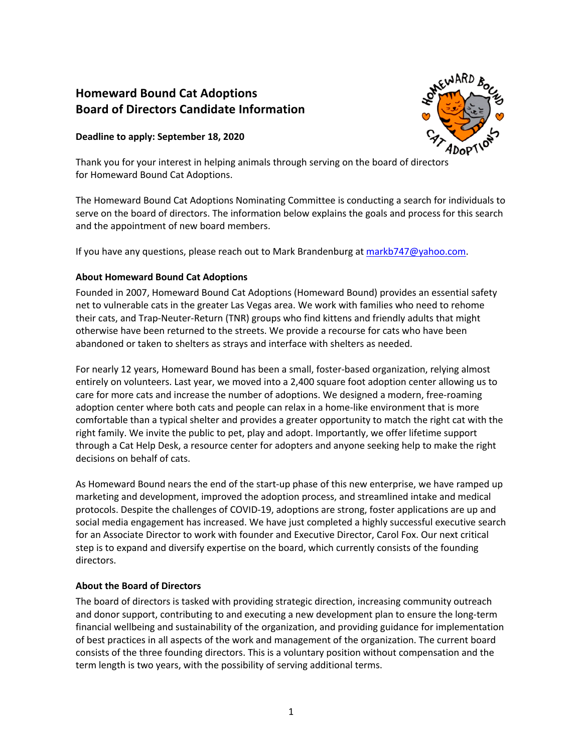# **Homeward Bound Cat Adoptions Board of Directors Candidate Information**

## **Deadline to apply: September 18, 2020**



Thank you for your interest in helping animals through serving on the board of directors for Homeward Bound Cat Adoptions.

The Homeward Bound Cat Adoptions Nominating Committee is conducting a search for individuals to serve on the board of directors. The information below explains the goals and process for this search and the appointment of new board members.

If you have any questions, please reach out to Mark Brandenburg at markb747@yahoo.com.

## **About Homeward Bound Cat Adoptions**

Founded in 2007, Homeward Bound Cat Adoptions (Homeward Bound) provides an essential safety net to vulnerable cats in the greater Las Vegas area. We work with families who need to rehome their cats, and Trap-Neuter-Return (TNR) groups who find kittens and friendly adults that might otherwise have been returned to the streets. We provide a recourse for cats who have been abandoned or taken to shelters as strays and interface with shelters as needed.

For nearly 12 years, Homeward Bound has been a small, foster-based organization, relying almost entirely on volunteers. Last year, we moved into a 2,400 square foot adoption center allowing us to care for more cats and increase the number of adoptions. We designed a modern, free-roaming adoption center where both cats and people can relax in a home-like environment that is more comfortable than a typical shelter and provides a greater opportunity to match the right cat with the right family. We invite the public to pet, play and adopt. Importantly, we offer lifetime support through a Cat Help Desk, a resource center for adopters and anyone seeking help to make the right decisions on behalf of cats.

As Homeward Bound nears the end of the start-up phase of this new enterprise, we have ramped up marketing and development, improved the adoption process, and streamlined intake and medical protocols. Despite the challenges of COVID-19, adoptions are strong, foster applications are up and social media engagement has increased. We have just completed a highly successful executive search for an Associate Director to work with founder and Executive Director, Carol Fox. Our next critical step is to expand and diversify expertise on the board, which currently consists of the founding directors.

## **About the Board of Directors**

The board of directors is tasked with providing strategic direction, increasing community outreach and donor support, contributing to and executing a new development plan to ensure the long-term financial wellbeing and sustainability of the organization, and providing guidance for implementation of best practices in all aspects of the work and management of the organization. The current board consists of the three founding directors. This is a voluntary position without compensation and the term length is two years, with the possibility of serving additional terms.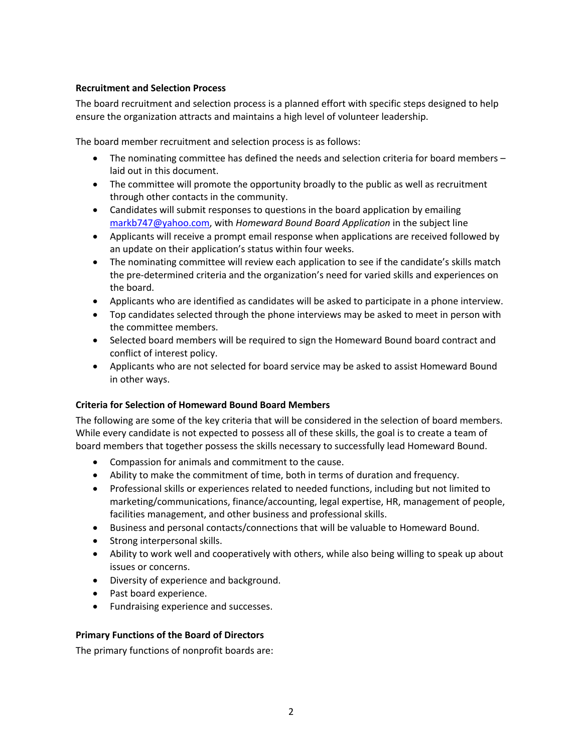## **Recruitment and Selection Process**

The board recruitment and selection process is a planned effort with specific steps designed to help ensure the organization attracts and maintains a high level of volunteer leadership.

The board member recruitment and selection process is as follows:

- The nominating committee has defined the needs and selection criteria for board members laid out in this document.
- The committee will promote the opportunity broadly to the public as well as recruitment through other contacts in the community.
- Candidates will submit responses to questions in the board application by emailing markb747@yahoo.com, with *Homeward Bound Board Application* in the subject line
- Applicants will receive a prompt email response when applications are received followed by an update on their application's status within four weeks.
- The nominating committee will review each application to see if the candidate's skills match the pre-determined criteria and the organization's need for varied skills and experiences on the board.
- Applicants who are identified as candidates will be asked to participate in a phone interview.
- Top candidates selected through the phone interviews may be asked to meet in person with the committee members.
- Selected board members will be required to sign the Homeward Bound board contract and conflict of interest policy.
- Applicants who are not selected for board service may be asked to assist Homeward Bound in other ways.

#### **Criteria for Selection of Homeward Bound Board Members**

The following are some of the key criteria that will be considered in the selection of board members. While every candidate is not expected to possess all of these skills, the goal is to create a team of board members that together possess the skills necessary to successfully lead Homeward Bound.

- Compassion for animals and commitment to the cause.
- Ability to make the commitment of time, both in terms of duration and frequency.
- Professional skills or experiences related to needed functions, including but not limited to marketing/communications, finance/accounting, legal expertise, HR, management of people, facilities management, and other business and professional skills.
- Business and personal contacts/connections that will be valuable to Homeward Bound.
- Strong interpersonal skills.
- Ability to work well and cooperatively with others, while also being willing to speak up about issues or concerns.
- Diversity of experience and background.
- Past board experience.
- Fundraising experience and successes.

#### **Primary Functions of the Board of Directors**

The primary functions of nonprofit boards are: